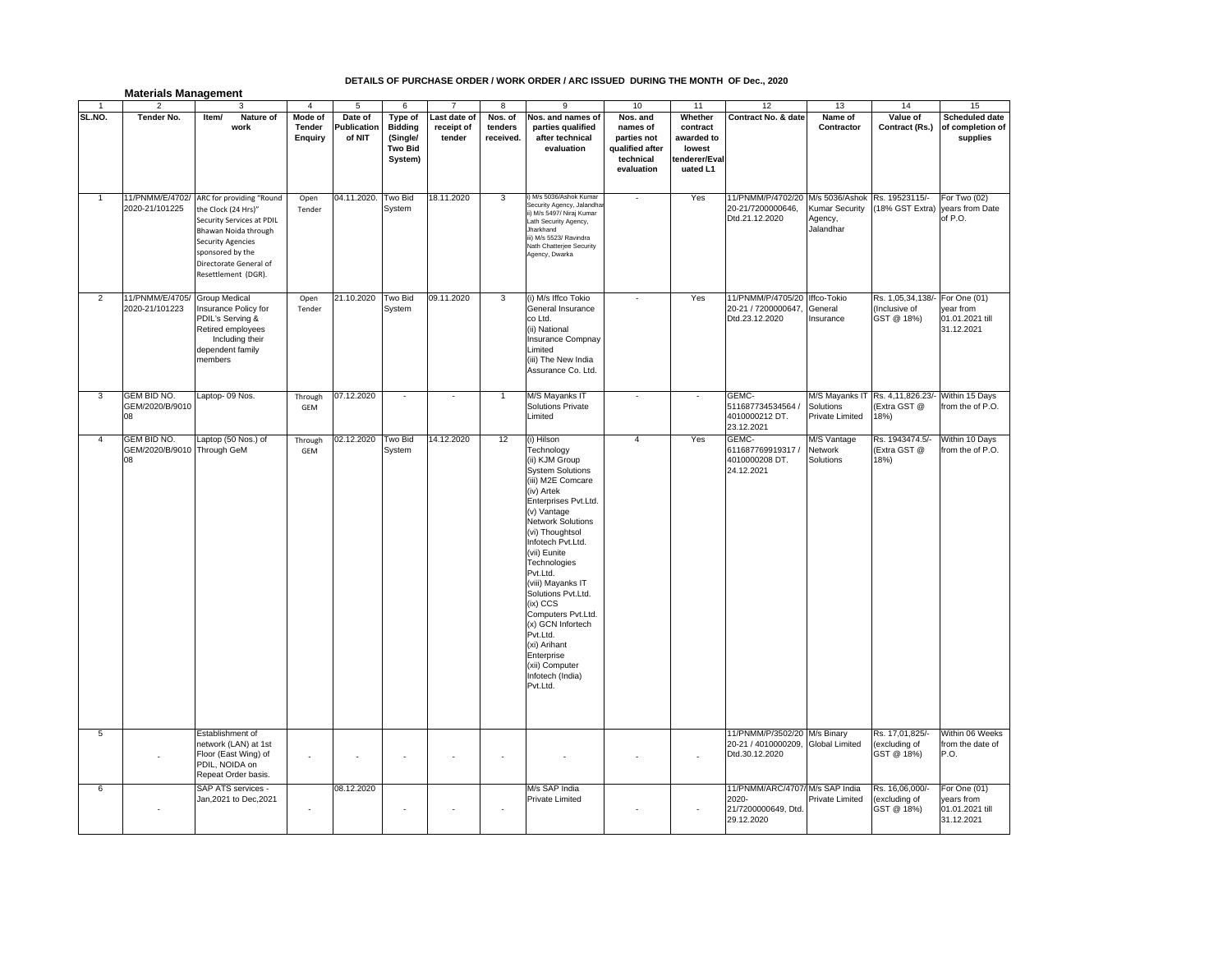## **DETAILS OF PURCHASE ORDER / WORK ORDER / ARC ISSUED DURING THE MONTH OF Dec., 2020**

| <b>Materials Management</b> |  |  |  |
|-----------------------------|--|--|--|
|-----------------------------|--|--|--|

|                | $\overline{2}$                              | 3                                                                                                                                                                                                     | $\overline{4}$               | 5                                | 6                                                                  | $\overline{7}$                       | 8                               | 9                                                                                                                                                                                                                                                                                                                                                                                                                                                             | 10                                                                                | 11                                                                      | 12                                                                            | 13                                                                             | 14                                                       | 15                                                          |
|----------------|---------------------------------------------|-------------------------------------------------------------------------------------------------------------------------------------------------------------------------------------------------------|------------------------------|----------------------------------|--------------------------------------------------------------------|--------------------------------------|---------------------------------|---------------------------------------------------------------------------------------------------------------------------------------------------------------------------------------------------------------------------------------------------------------------------------------------------------------------------------------------------------------------------------------------------------------------------------------------------------------|-----------------------------------------------------------------------------------|-------------------------------------------------------------------------|-------------------------------------------------------------------------------|--------------------------------------------------------------------------------|----------------------------------------------------------|-------------------------------------------------------------|
| SL.NO.         | Tender No.                                  | Nature of<br>Item/<br>work                                                                                                                                                                            | Mode of<br>Tender<br>Enquiry | Date of<br>Publication<br>of NIT | Type of<br><b>Bidding</b><br>(Single/<br><b>Two Bid</b><br>System) | Last date of<br>receipt of<br>tender | Nos. of<br>tenders<br>received. | Nos. and names of<br>parties qualified<br>after technical<br>evaluation                                                                                                                                                                                                                                                                                                                                                                                       | Nos. and<br>names of<br>parties not<br>qualified after<br>technical<br>evaluation | Whether<br>contract<br>awarded to<br>lowest<br>enderer/Eval<br>uated L1 | Contract No. & date                                                           | Name of<br>Contractor                                                          | Value of<br>Contract (Rs.)                               | <b>Scheduled date</b><br>of completion of<br>supplies       |
| $\overline{1}$ | 11/PNMM/E/4702/<br>2020-21/101225           | ARC for providing "Round<br>the Clock (24 Hrs)"<br>Security Services at PDIL<br>Bhawan Noida through<br><b>Security Agencies</b><br>sponsored by the<br>Directorate General of<br>Resettlement (DGR). | Open<br>Tender               | 04.11.2020.                      | Two Bid<br>System                                                  | 18.11.2020                           | 3                               | i) M/s 5036/Ashok Kumar<br>Security Agency, Jalandha<br>ii) M/s 5497/ Niraj Kumar<br>Lath Security Agency,<br>Jharkhand<br>iii) M/s 5523/ Ravindra<br>Nath Chatterjee Security<br>Agency, Dwarka                                                                                                                                                                                                                                                              |                                                                                   | Yes                                                                     | 11/PNMM/P/4702/20<br>20-21/7200000646,<br>Dtd.21.12.2020                      | M/s 5036/Ashok Rs. 19523115/-<br><b>Kumar Security</b><br>Agency,<br>Jalandhar | (18% GST Extra)                                          | For Two (02)<br>years from Date<br>of P.O.                  |
| $\overline{2}$ | 11/PNMM/E/4705/<br>2020-21/101223           | <b>Group Medical</b><br>Insurance Policy for<br>PDIL's Serving &<br>Retired employees<br>Including their<br>dependent family<br>members                                                               | Open<br>Tender               | 21.10.2020                       | Two Bid<br>System                                                  | 09.11.2020                           | 3                               | (i) M/s Iffco Tokio<br>General Insurance<br>co Ltd.<br>(ii) National<br>Insurance Compnay<br>Limited<br>(iii) The New India<br>Assurance Co. Ltd.                                                                                                                                                                                                                                                                                                             |                                                                                   | Yes                                                                     | 11/PNMM/P/4705/20 Iffco-Tokio<br>20-21 / 7200000647,<br>Dtd.23.12.2020        | General<br>Insurance                                                           | Rs. 1,05,34,138/-<br>(Inclusive of<br>GST @ 18%)         | For One (01)<br>year from<br>01.01.2021 till<br>31.12.2021  |
| 3              | <b>GEM BID NO.</b><br>GEM/2020/B/9010<br>80 | _aptop- 09 Nos.                                                                                                                                                                                       | Through<br>GEM               | 07.12.2020                       |                                                                    |                                      | 1                               | M/S Mayanks IT<br><b>Solutions Private</b><br>Limited                                                                                                                                                                                                                                                                                                                                                                                                         |                                                                                   |                                                                         | GEMC-<br>511687734534564 /<br>4010000212 DT.<br>23.12.2021                    | Solutions<br>Private Limited                                                   | M/S Mayanks IT Rs. 4,11,826.23/-<br>(Extra GST @<br>18%) | Within 15 Days<br>from the of P.O.                          |
| 4              | GEM BID NO.<br>GEM/2020/B/9010<br>80        | Laptop (50 Nos.) of<br>Through GeM                                                                                                                                                                    | Through<br>GEM               | 02.12.2020                       | Two Bid<br>System                                                  | 14.12.2020                           | 12                              | (i) Hilson<br>Technology<br>(ii) KJM Group<br><b>System Solutions</b><br>(iii) M2E Comcare<br>(iv) Artek<br>Enterprises Pvt.Ltd.<br>(v) Vantage<br><b>Network Solutions</b><br>(vi) Thoughtsol<br>Infotech Pvt.Ltd.<br>(vii) Eunite<br>Technologies<br>Pvt.Ltd.<br>(viii) Mayanks IT<br>Solutions Pvt.Ltd.<br>(ix) CCS<br>Computers Pvt.Ltd.<br>(x) GCN Infortech<br>Pvt.Ltd.<br>(xi) Arihant<br>Enterprise<br>(xii) Computer<br>Infotech (India)<br>Pvt.Ltd. | $\overline{4}$                                                                    | Yes                                                                     | GEMC-<br>611687769919317 /<br>4010000208 DT.<br>24.12.2021                    | M/S Vantage<br>Network<br>Solutions                                            | Rs. 1943474.5/-<br>(Extra GST @<br>18%                   | Within 10 Days<br>from the of P.O.                          |
| 5              |                                             | Establishment of<br>network (LAN) at 1st<br>Floor (East Wing) of<br>PDIL, NOIDA on<br>Repeat Order basis.                                                                                             |                              |                                  |                                                                    |                                      |                                 |                                                                                                                                                                                                                                                                                                                                                                                                                                                               |                                                                                   |                                                                         | 11/PNMM/P/3502/20 M/s Binary<br>20-21 / 4010000209,<br>Dtd.30.12.2020         | <b>Global Limited</b>                                                          | Rs. 17,01,825/-<br>(excluding of<br>GST @ 18%)           | Within 06 Weeks<br>from the date of<br>P.O.                 |
| 6              |                                             | SAP ATS services -<br>Jan, 2021 to Dec, 2021                                                                                                                                                          | ×                            | 08.12.2020                       |                                                                    |                                      |                                 | M/s SAP India<br>Private Limited                                                                                                                                                                                                                                                                                                                                                                                                                              |                                                                                   |                                                                         | 11/PNMM/ARC/4707/ M/s SAP India<br>2020-<br>21/7200000649, Dtd.<br>29.12.2020 | Private Limited                                                                | Rs. 16,06,000/-<br>(excluding of<br>GST @ 18%)           | For One (01)<br>years from<br>01.01.2021 till<br>31.12.2021 |